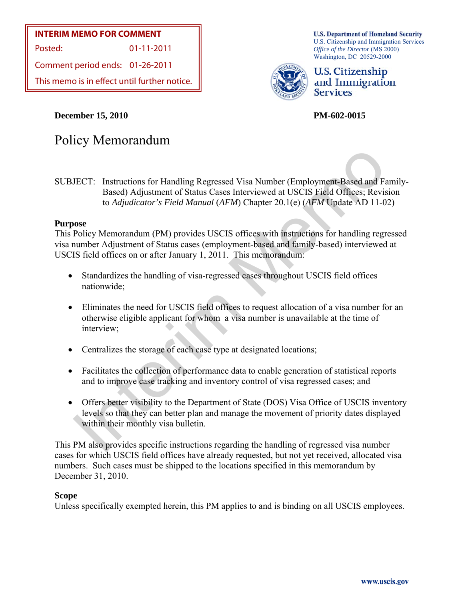## **INTERIM MEMO FOR COMMENT**

Posted: 01-11-2011

Comment period ends: 01-26-2011

This memo is in effect until further notice.

Policy Memorandum

**December 15, 2010 PM-602-0015** 

**U.S. Department of Homeland Security** U.S. Citizenship and Immigration Services *Office of the Director* (MS 2000) Washington, DC 20529-2000



**U.S. Citizenship** and Immigration **Services** 

IECT: Instructions for Handling Regressed Visa Number (Employment-Based and F<br>Based) Adjustment of Status Cases Interviewed at USCIS Field Offices; Revisive of Adjudicator's Field Manual (AFM) Chapter 20.1(c) (AFM Update A SUBJECT: Instructions for Handling Regressed Visa Number (Employment-Based and Family-

Based) Adjustment of Status Cases Interviewed at USCIS Field Offices; Revision to *Adjudicator's Field Manual* (*AFM*) Chapter 20.1(e) (*AFM* Update AD 11-02)

### **Purpose**

This Policy Memorandum (PM) provides USCIS offices with instructions for handling regressed visa number Adjustment of Status cases (employment-based and family-based) interviewed at USCIS field offices on or after January 1, 2011. This memorandum:

- Standardizes the handling of visa-regressed cases throughout USCIS field offices nationwide;
- Eliminates the need for USCIS field offices to request allocation of a visa number for an otherwise eligible applicant for whom a visa number is unavailable at the time of interview;
- Centralizes the storage of each case type at designated locations;
- Facilitates the collection of performance data to enable generation of statistical reports and to improve case tracking and inventory control of visa regressed cases; and
- Offers better visibility to the Department of State (DOS) Visa Office of USCIS inventory levels so that they can better plan and manage the movement of priority dates displayed within their monthly visa bulletin.

This PM also provides specific instructions regarding the handling of regressed visa number cases for which USCIS field offices have already requested, but not yet received, allocated visa numbers. Such cases must be shipped to the locations specified in this memorandum by December 31, 2010.

### **Scope**

Unless specifically exempted herein, this PM applies to and is binding on all USCIS employees.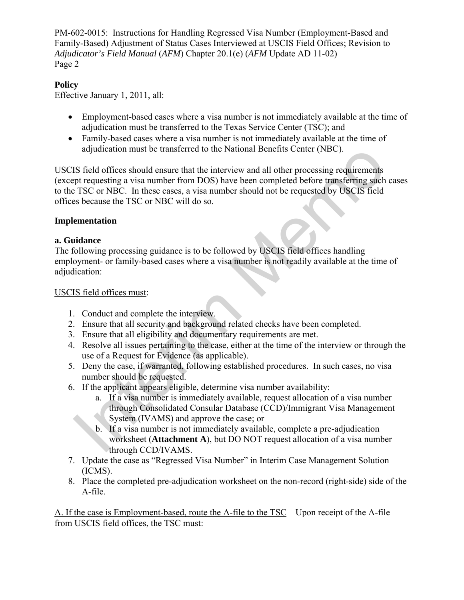## **Policy**

Effective January 1, 2011, all:

- Employment-based cases where a visa number is not immediately available at the time of adjudication must be transferred to the Texas Service Center (TSC); and
- Family-based cases where a visa number is not immediately available at the time of adjudication must be transferred to the National Benefits Center (NBC).

adjudication must be transferred to the National Benefits Center (NBC).<br>
IS field offices should ensure that the interview and all other processing requirements<br>
per requesting a visa number from DOS) have been completed b USCIS field offices should ensure that the interview and all other processing requirements (except requesting a visa number from DOS) have been completed before transferring such cases to the TSC or NBC. In these cases, a visa number should not be requested by USCIS field offices because the TSC or NBC will do so.

### **Implementation**

### **a. Guidance**

The following processing guidance is to be followed by USCIS field offices handling employment- or family-based cases where a visa number is not readily available at the time of adjudication:

### USCIS field offices must:

- 1. Conduct and complete the interview.
- 2. Ensure that all security and background related checks have been completed.
- 3. Ensure that all eligibility and documentary requirements are met.
- 4. Resolve all issues pertaining to the case, either at the time of the interview or through the use of a Request for Evidence (as applicable).
- 5. Deny the case, if warranted, following established procedures. In such cases, no visa number should be requested.
- 6. If the applicant appears eligible, determine visa number availability:
	- a. If a visa number is immediately available, request allocation of a visa number through Consolidated Consular Database (CCD)/Immigrant Visa Management System (IVAMS) and approve the case; or
	- b. If a visa number is not immediately available, complete a pre-adjudication worksheet (**Attachment A**), but DO NOT request allocation of a visa number through CCD/IVAMS.
- 7. Update the case as "Regressed Visa Number" in Interim Case Management Solution (ICMS).
- 8. Place the completed pre-adjudication worksheet on the non-record (right-side) side of the A-file.

A. If the case is Employment-based, route the A-file to the TSC – Upon receipt of the A-file from USCIS field offices, the TSC must: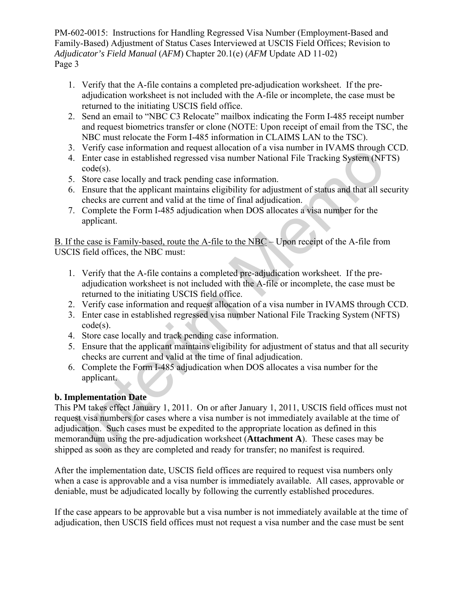- 1. Verify that the A-file contains a completed pre-adjudication worksheet. If the preadjudication worksheet is not included with the A-file or incomplete, the case must be returned to the initiating USCIS field office.
- 2. Send an email to "NBC C3 Relocate" mailbox indicating the Form I-485 receipt number and request biometrics transfer or clone (NOTE: Upon receipt of email from the TSC, the NBC must relocate the Form I-485 information in CLAIMS LAN to the TSC).
- 3. Verify case information and request allocation of a visa number in IVAMS through CCD.
- 4. Enter case in established regressed visa number National File Tracking System (NFTS) code(s).
- 5. Store case locally and track pending case information.
- 6. Ensure that the applicant maintains eligibility for adjustment of status and that all security checks are current and valid at the time of final adjudication.
- 7. Complete the Form I-485 adjudication when DOS allocates a visa number for the applicant.

B. If the case is Family-based, route the A-file to the NBC – Upon receipt of the A-file from USCIS field offices, the NBC must:

- 1. Verify that the A-file contains a completed pre-adjudication worksheet. If the preadjudication worksheet is not included with the A-file or incomplete, the case must be returned to the initiating USCIS field office.
- 2. Verify case information and request allocation of a visa number in IVAMS through CCD.
- 3. Enter case in established regressed visa number National File Tracking System (NFTS) code(s).
- 4. Store case locally and track pending case information.
- 5. Ensure that the applicant maintains eligibility for adjustment of status and that all security checks are current and valid at the time of final adjudication.
- 6. Complete the Form I-485 adjudication when DOS allocates a visa number for the applicant.

# **b. Implementation Date**

Furt case information and request at<br>once and reduced and the match and the set and the set of the set of<br>matched respective and the applicant maintains eligibility for adjustment of status and that all set<br>once case loca This PM takes effect January 1, 2011. On or after January 1, 2011, USCIS field offices must not request visa numbers for cases where a visa number is not immediately available at the time of adjudication. Such cases must be expedited to the appropriate location as defined in this memorandum using the pre-adjudication worksheet (**Attachment A**). These cases may be shipped as soon as they are completed and ready for transfer; no manifest is required.

After the implementation date, USCIS field offices are required to request visa numbers only when a case is approvable and a visa number is immediately available. All cases, approvable or deniable, must be adjudicated locally by following the currently established procedures.

If the case appears to be approvable but a visa number is not immediately available at the time of adjudication, then USCIS field offices must not request a visa number and the case must be sent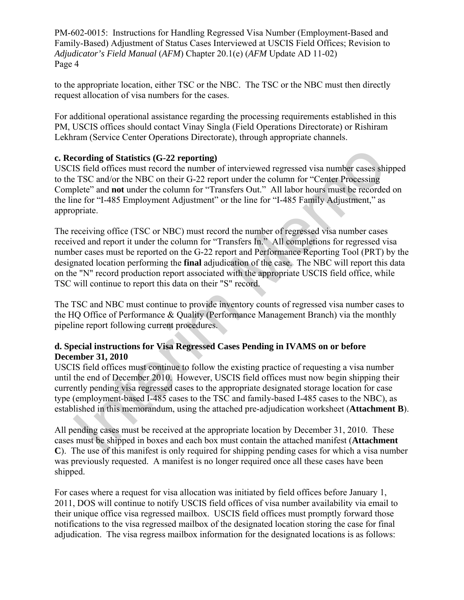to the appropriate location, either TSC or the NBC. The TSC or the NBC must then directly request allocation of visa numbers for the cases.

For additional operational assistance regarding the processing requirements established in this PM, USCIS offices should contact Vinay Singla (Field Operations Directorate) or Rishiram Lekhram (Service Center Operations Directorate), through appropriate channels.

### **c. Recording of Statistics (G-22 reporting)**

USCIS field offices must record the number of interviewed regressed visa number cases shipped to the TSC and/or the NBC on their G-22 report under the column for "Center Processing Complete" and **not** under the column for "Transfers Out." All labor hours must be recorded on the line for "I-485 Employment Adjustment" or the line for "I-485 Family Adjustment," as appropriate.

cording of Statistics (G-22 reporting)<br>IS field offices unst record the number of interviewed regressed visa number cases shiff edd offices unst record the number of interviewed regressed visa number cases shifted offices The receiving office (TSC or NBC) must record the number of regressed visa number cases received and report it under the column for "Transfers In." All completions for regressed visa number cases must be reported on the G-22 report and Performance Reporting Tool (PRT) by the designated location performing the **final** adjudication of the case. The NBC will report this data on the "N" record production report associated with the appropriate USCIS field office, while TSC will continue to report this data on their "S" record.

The TSC and NBC must continue to provide inventory counts of regressed visa number cases to the HQ Office of Performance & Quality (Performance Management Branch) via the monthly pipeline report following current procedures.

### **d. Special instructions for Visa Regressed Cases Pending in IVAMS on or before December 31, 2010**

USCIS field offices must continue to follow the existing practice of requesting a visa number until the end of December 2010. However, USCIS field offices must now begin shipping their currently pending visa regressed cases to the appropriate designated storage location for case type (employment-based I-485 cases to the TSC and family-based I-485 cases to the NBC), as established in this memorandum, using the attached pre-adjudication worksheet (**Attachment B**).

All pending cases must be received at the appropriate location by December 31, 2010. These cases must be shipped in boxes and each box must contain the attached manifest (**Attachment C**). The use of this manifest is only required for shipping pending cases for which a visa number was previously requested. A manifest is no longer required once all these cases have been shipped.

For cases where a request for visa allocation was initiated by field offices before January 1, 2011, DOS will continue to notify USCIS field offices of visa number availability via email to their unique office visa regressed mailbox. USCIS field offices must promptly forward those notifications to the visa regressed mailbox of the designated location storing the case for final adjudication. The visa regress mailbox information for the designated locations is as follows: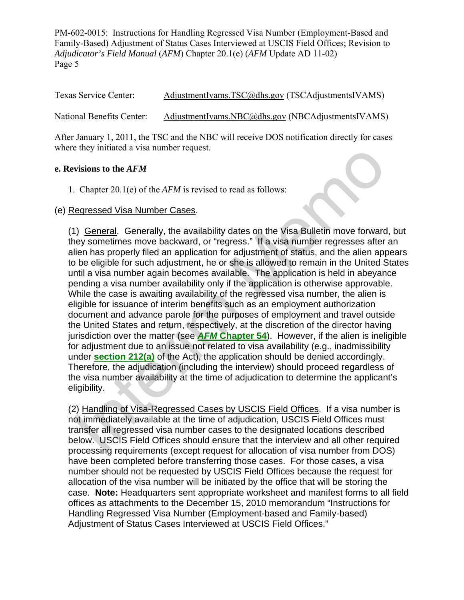Texas Service Center: [AdjustmentIvams.TSC@dhs.gov](mailto:AdjustmentIvams.TSC@dhs.gov) (TSCAdjustmentsIVAMS) National Benefits Center: [AdjustmentIvams.NBC@dhs.gov](mailto:AdjustmentIvams.NBC@dhs.gov) (NBCAdjustmentsIVAMS)

After January 1, 2011, the TSC and the NBC will receive DOS notification directly for cases where they initiated a visa number request.

### **e. Revisions to the** *AFM*

1. Chapter 20.1(e) of the *AFM* is revised to read as follows:

### (e) Regressed Visa Number Cases.

If they immated a Visa humber request.<br>
The they mutuated a Visa humber request.<br>
The chapter 20.1(e) of the *AFM* is revised to read as follows:<br>
Regressed Visa Number Cases.<br>
1) <u>General</u>. Generally, the availability da (1) General. Generally, the availability dates on the Visa Bulletin move forward, but they sometimes move backward, or "regress." If a visa number regresses after an alien has properly filed an application for adjustment of status, and the alien appears to be eligible for such adjustment, he or she is allowed to remain in the United States until a visa number again becomes available. The application is held in abeyance pending a visa number availability only if the application is otherwise approvable. While the case is awaiting availability of the regressed visa number, the alien is eligible for issuance of interim benefits such as an employment authorization document and advance parole for the purposes of employment and travel outside the United States and return, respectively, at the discretion of the director having jurisdiction over the matter (see *AFM* **Chapter 54**). However, if the alien is ineligible for adjustment due to an issue not related to visa availability (e.g., inadmissibility under **section 212(a)** of the Act), the application should be denied accordingly. Therefore, the adjudication (including the interview) should proceed regardless of the visa number availability at the time of adjudication to determine the applicant's eligibility.

(2) Handling of Visa-Regressed Cases by USCIS Field Offices. If a visa number is not immediately available at the time of adjudication, USCIS Field Offices must transfer all regressed visa number cases to the designated locations described below. USCIS Field Offices should ensure that the interview and all other required processing requirements (except request for allocation of visa number from DOS) have been completed before transferring those cases. For those cases, a visa number should not be requested by USCIS Field Offices because the request for allocation of the visa number will be initiated by the office that will be storing the case. **Note:** Headquarters sent appropriate worksheet and manifest forms to all field offices as attachments to the December 15, 2010 memorandum "Instructions for Handling Regressed Visa Number (Employment-based and Family-based) Adjustment of Status Cases Interviewed at USCIS Field Offices."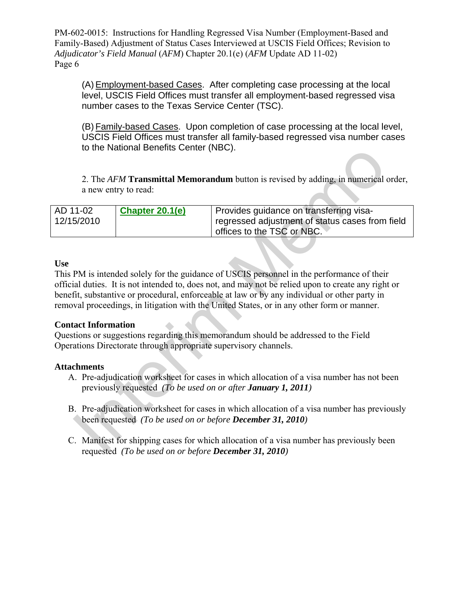(A)Employment-based Cases. After completing case processing at the local level, USCIS Field Offices must transfer all employment-based regressed visa number cases to the Texas Service Center (TSC).

(B) Family-based Cases. Upon completion of case processing at the local level, USCIS Field Offices must transfer all family-based regressed visa number cases to the National Benefits Center (NBC).

2. The *AFM* **Transmittal Memorandum** button is revised by adding, in numerical order, a new entry to read:

| AD 11-02   | Chapter 20.1(e) | Provides guidance on transferring visa-         |
|------------|-----------------|-------------------------------------------------|
| 12/15/2010 |                 | regressed adjustment of status cases from field |
|            |                 | offices to the TSC or NBC.                      |

### **Use**

2. The *AFM* **Transmittal Memorandum** button is revised by adding, in numerical<br>a new entry to read:<br> $\frac{1-02}{1-02}$  Chapter 20.1(e) Provides guidance on transferring visa-<br>forgressed adjustment of status cases from<br>offic This PM is intended solely for the guidance of USCIS personnel in the performance of their official duties. It is not intended to, does not, and may not be relied upon to create any right or benefit, substantive or procedural, enforceable at law or by any individual or other party in removal proceedings, in litigation with the United States, or in any other form or manner.

### **Contact Information**

Questions or suggestions regarding this memorandum should be addressed to the Field Operations Directorate through appropriate supervisory channels.

### **Attachments**

- A. Pre-adjudication worksheet for cases in which allocation of a visa number has not been previously requested *(To be used on or after January 1, 2011)*
- B. Pre-adjudication worksheet for cases in which allocation of a visa number has previously been requested *(To be used on or before December 31, 2010)*
- C. Manifest for shipping cases for which allocation of a visa number has previously been requested *(To be used on or before December 31, 2010)*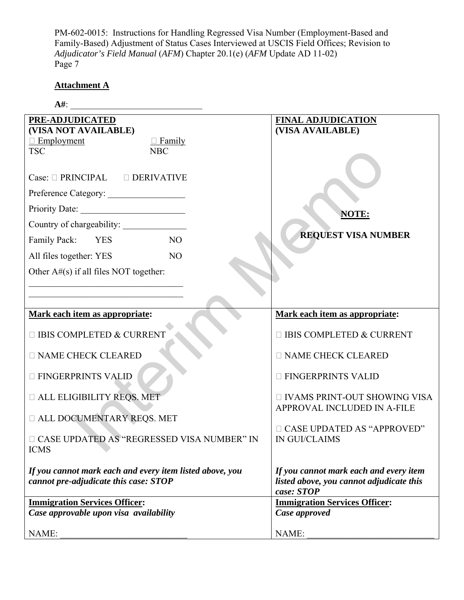# **Attachment A**

| $A#$ :                                                                                            |                                                                                                  |  |
|---------------------------------------------------------------------------------------------------|--------------------------------------------------------------------------------------------------|--|
| PRE-ADJUDICATED<br>(VISA NOT AVAILABLE)<br>$\Box$ Family<br>$\Box$ Employment                     | <b>FINAL ADJUDICATION</b><br>(VISA AVAILABLE)                                                    |  |
| <b>TSC</b><br><b>NBC</b>                                                                          |                                                                                                  |  |
| Case: $\Box$ PRINCIPAL $\Box$ DERIVATIVE                                                          |                                                                                                  |  |
| Preference Category:                                                                              |                                                                                                  |  |
| Priority Date:                                                                                    | NOTE:                                                                                            |  |
| Country of chargeability:                                                                         | <b>REQUEST VISA NUMBER</b>                                                                       |  |
| NO<br>Family Pack:<br><b>YES</b>                                                                  |                                                                                                  |  |
| All files together: YES<br>N <sub>O</sub>                                                         |                                                                                                  |  |
| Other $A#(s)$ if all files NOT together:                                                          |                                                                                                  |  |
|                                                                                                   |                                                                                                  |  |
|                                                                                                   |                                                                                                  |  |
| Mark each item as appropriate:                                                                    | Mark each item as appropriate:                                                                   |  |
| □ IBIS COMPLETED & CURRENT                                                                        | $\Box$ IBIS COMPLETED & CURRENT                                                                  |  |
| <b>NAME CHECK CLEARED</b>                                                                         | <b>NAME CHECK CLEARED</b>                                                                        |  |
| <b>E FINGERPRINTS VALID</b>                                                                       | <b>E FINGERPRINTS VALID</b>                                                                      |  |
| <b>IN ALL ELIGIBILITY REQS. MET</b>                                                               | □ IVAMS PRINT-OUT SHOWING VISA<br>APPROVAL INCLUDED IN A-FILE                                    |  |
| <b>III ALL DOCUMENTARY REQS. MET</b>                                                              |                                                                                                  |  |
| □ CASE UPDATED AS "REGRESSED VISA NUMBER" IN<br><b>ICMS</b>                                       | □ CASE UPDATED AS "APPROVED"<br><b>IN GUI/CLAIMS</b>                                             |  |
| If you cannot mark each and every item listed above, you<br>cannot pre-adjudicate this case: STOP | If you cannot mark each and every item<br>listed above, you cannot adjudicate this<br>case: STOP |  |
| <b>Immigration Services Officer:</b>                                                              | <b>Immigration Services Officer:</b>                                                             |  |
| Case approvable upon visa availability                                                            | Case approved                                                                                    |  |
| NAME:                                                                                             | NAME:                                                                                            |  |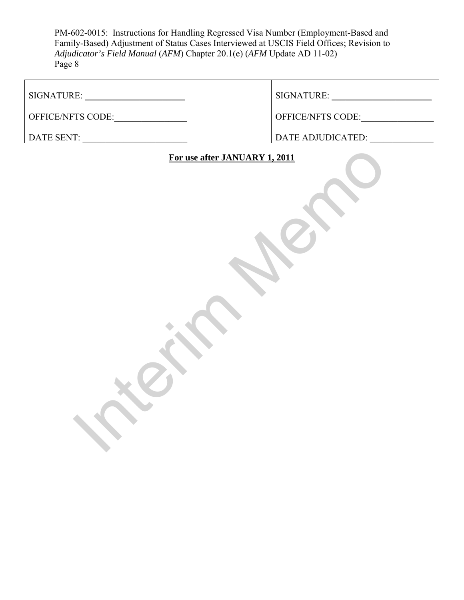| SIGNATURE:               | SIGNATURE:               |
|--------------------------|--------------------------|
| <b>OFFICE/NFTS CODE:</b> | <b>OFFICE/NFTS CODE:</b> |
| DATE SENT:               | DATE ADJUDICATED:        |

# For use after JANUARY 1, 2011 **For use after JANUARY 1, 2011**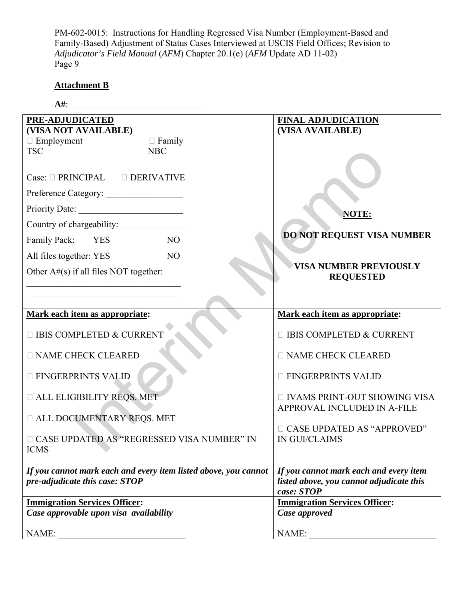# **Attachment B**

| $A#$ :                                                                                                                                  |                                                                                                  |  |
|-----------------------------------------------------------------------------------------------------------------------------------------|--------------------------------------------------------------------------------------------------|--|
| PRE-ADJUDICATED<br>(VISA NOT AVAILABLE)<br>$\Box$ Family<br>$\Box$ Employment<br><b>TSC</b><br><b>NBC</b>                               | <b>FINAL ADJUDICATION</b><br>(VISA AVAILABLE)                                                    |  |
| Case: $\Box$ PRINCIPAL $\Box$ DERIVATIVE<br>Preference Category:<br>Family Pack: YES<br>NO<br>All files together: YES<br>N <sub>O</sub> | NOTE:<br>DO NOT REQUEST VISA NUMBER                                                              |  |
| Other $A#(s)$ if all files NOT together:                                                                                                | <b>VISA NUMBER PREVIOUSLY</b><br><b>REQUESTED</b>                                                |  |
| Mark each item as appropriate:                                                                                                          | Mark each item as appropriate:                                                                   |  |
| □ IBIS COMPLETED & CURRENT                                                                                                              | □ IBIS COMPLETED & CURRENT                                                                       |  |
| <b>NAME CHECK CLEARED</b>                                                                                                               | <b>NAME CHECK CLEARED</b>                                                                        |  |
| <b>E FINGERPRINTS VALID</b>                                                                                                             | <b>E FINGERPRINTS VALID</b>                                                                      |  |
| <b>IN ALL ELIGIBILITY REQS. MET</b>                                                                                                     | □ IVAMS PRINT-OUT SHOWING VISA<br>APPROVAL INCLUDED IN A-FILE                                    |  |
| <b>II ALL DOCUMENTARY REQS. MET</b>                                                                                                     |                                                                                                  |  |
| □ CASE UPDATED AS "REGRESSED VISA NUMBER" IN<br><b>ICMS</b>                                                                             | □ CASE UPDATED AS "APPROVED"<br><b>IN GUI/CLAIMS</b>                                             |  |
| If you cannot mark each and every item listed above, you cannot<br>pre-adjudicate this case: STOP                                       | If you cannot mark each and every item<br>listed above, you cannot adjudicate this<br>case: STOP |  |
| <b>Immigration Services Officer:</b>                                                                                                    | <b>Immigration Services Officer:</b>                                                             |  |
| Case approvable upon visa availability                                                                                                  | Case approved                                                                                    |  |
| NAME:                                                                                                                                   | NAME:                                                                                            |  |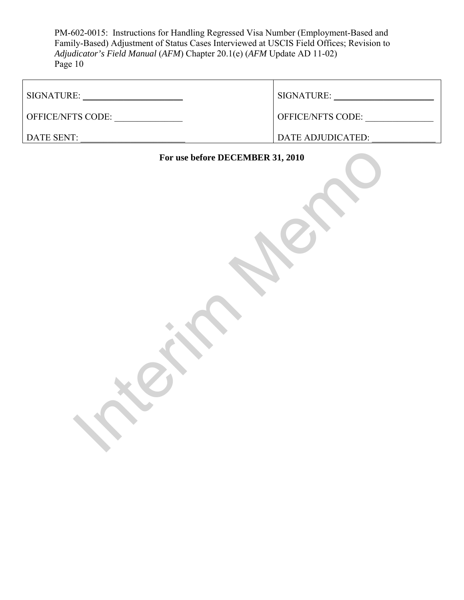| SIGNATURE:               | SIGNATURE:               |
|--------------------------|--------------------------|
| <b>OFFICE/NFTS CODE:</b> | <b>OFFICE/NFTS CODE:</b> |
| DATE SENT:               | DATE ADJUDICATED:        |

# For use before DECEMBER 31, 2010 **For use before DECEMBER 31, 2010**